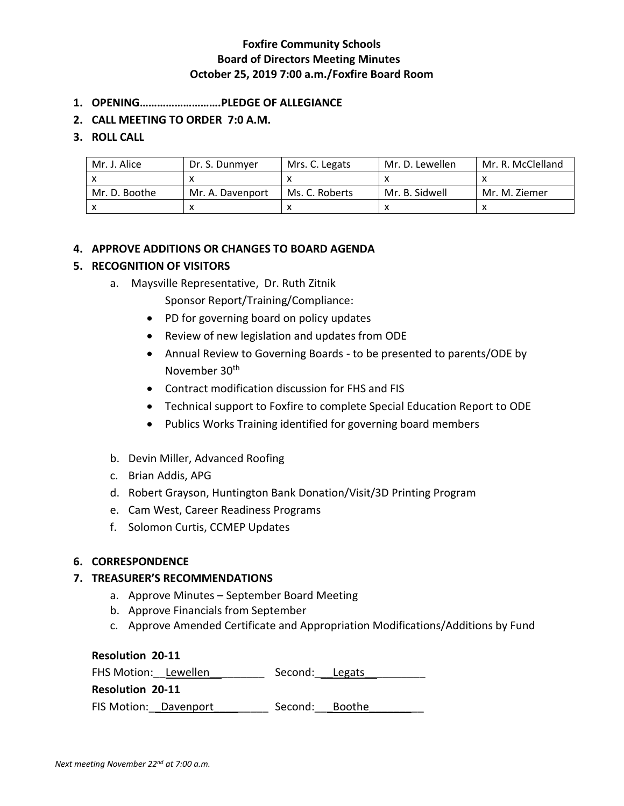- **1. OPENING……………………….PLEDGE OF ALLEGIANCE**
- **2. CALL MEETING TO ORDER 7:0 A.M.**

# **3. ROLL CALL**

| Mr. J. Alice  | Dr. S. Dunmyer   | Mrs. C. Legats | Mr. D. Lewellen | Mr. R. McClelland |
|---------------|------------------|----------------|-----------------|-------------------|
|               |                  |                |                 |                   |
| Mr. D. Boothe | Mr. A. Davenport | Ms. C. Roberts | Mr. B. Sidwell  | Mr. M. Ziemer     |
|               |                  |                |                 |                   |

# **4. APPROVE ADDITIONS OR CHANGES TO BOARD AGENDA**

# **5. RECOGNITION OF VISITORS**

a. Maysville Representative, Dr. Ruth Zitnik

Sponsor Report/Training/Compliance:

- PD for governing board on policy updates
- Review of new legislation and updates from ODE
- Annual Review to Governing Boards to be presented to parents/ODE by November 30th
- Contract modification discussion for FHS and FIS
- Technical support to Foxfire to complete Special Education Report to ODE
- Publics Works Training identified for governing board members
- b. Devin Miller, Advanced Roofing
- c. Brian Addis, APG
- d. Robert Grayson, Huntington Bank Donation/Visit/3D Printing Program
- e. Cam West, Career Readiness Programs
- f. Solomon Curtis, CCMEP Updates

### **6. CORRESPONDENCE**

### **7. TREASURER'S RECOMMENDATIONS**

- a. Approve Minutes September Board Meeting
- b. Approve Financials from September
- c. Approve Amended Certificate and Appropriation Modifications/Additions by Fund

**Resolution 20-11** FHS Motion: Lewellen entitled Second: Legats **Resolution 20-11** FIS Motion: Davenport Second: Boothe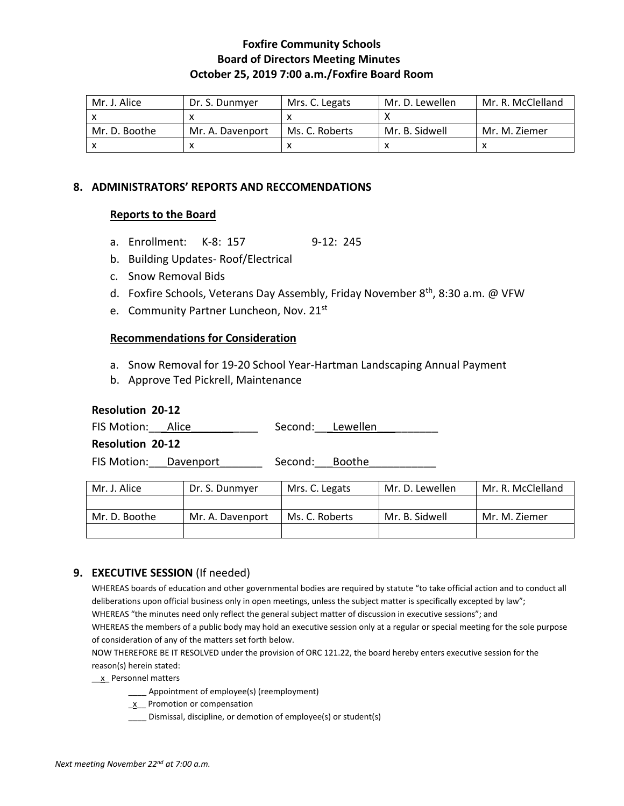| Mr. J. Alice  | Dr. S. Dunmver   | Mrs. C. Legats | Mr. D. Lewellen | Mr. R. McClelland |
|---------------|------------------|----------------|-----------------|-------------------|
|               |                  |                |                 |                   |
| Mr. D. Boothe | Mr. A. Davenport | Ms. C. Roberts | Mr. B. Sidwell  | Mr. M. Ziemer     |
|               |                  |                |                 |                   |

# **8. ADMINISTRATORS' REPORTS AND RECCOMENDATIONS**

# **Reports to the Board**

- a. Enrollment: K-8: 157 9-12: 245
- b. Building Updates- Roof/Electrical
- c. Snow Removal Bids
- d. Foxfire Schools, Veterans Day Assembly, Friday November 8<sup>th</sup>, 8:30 a.m. @ VFW
- e. Community Partner Luncheon, Nov. 21st

### **Recommendations for Consideration**

- a. Snow Removal for 19-20 School Year-Hartman Landscaping Annual Payment
- b. Approve Ted Pickrell, Maintenance

### **Resolution 20-12**

| FIS Motion: Alice |  | Second: Lewellen |  |
|-------------------|--|------------------|--|
|-------------------|--|------------------|--|

**Resolution 20-12**

FIS Motion: Davenport \_\_\_\_\_\_ Second: Boothe

| Mr. J. Alice  | Dr. S. Dunmver   | Mrs. C. Legats | Mr. D. Lewellen | Mr. R. McClelland |
|---------------|------------------|----------------|-----------------|-------------------|
|               |                  |                |                 |                   |
| Mr. D. Boothe | Mr. A. Davenport | Ms. C. Roberts | Mr. B. Sidwell  | Mr. M. Ziemer     |
|               |                  |                |                 |                   |

# **9. EXECUTIVE SESSION** (If needed)

WHEREAS boards of education and other governmental bodies are required by statute "to take official action and to conduct all deliberations upon official business only in open meetings, unless the subject matter is specifically excepted by law"; WHEREAS "the minutes need only reflect the general subject matter of discussion in executive sessions"; and WHEREAS the members of a public body may hold an executive session only at a regular or special meeting for the sole purpose of consideration of any of the matters set forth below.

NOW THEREFORE BE IT RESOLVED under the provision of ORC 121.22, the board hereby enters executive session for the reason(s) herein stated:

\_\_x\_ Personnel matters

- \_\_\_\_ Appointment of employee(s) (reemployment)
- $\underline{x}$  Promotion or compensation
- \_\_\_\_ Dismissal, discipline, or demotion of employee(s) or student(s)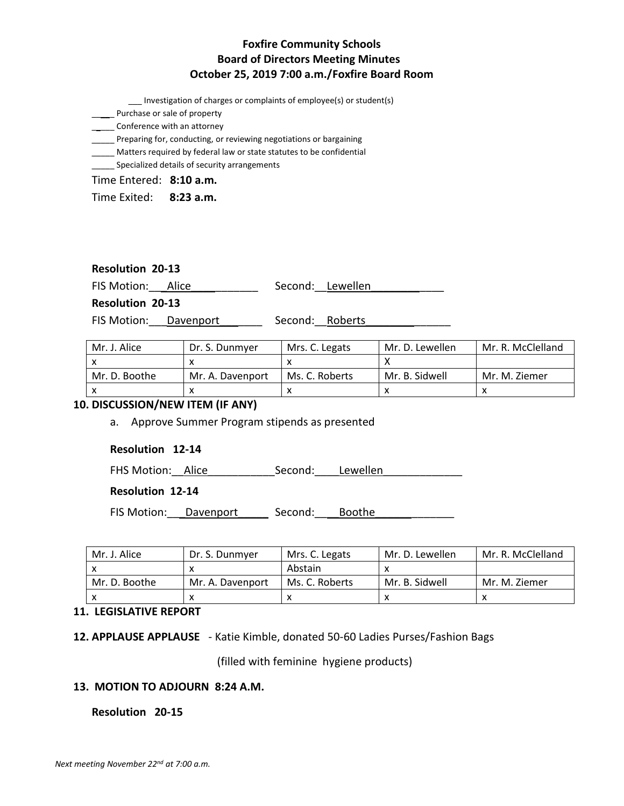\_\_\_ Investigation of charges or complaints of employee(s) or student(s)

**\_\_\_\_\_** Purchase or sale of property

\_\_\_\_\_\_ Conference with an attorney

\_\_\_\_\_ Preparing for, conducting, or reviewing negotiations or bargaining

\_\_\_\_\_ Matters required by federal law or state statutes to be confidential

**\_\_\_\_\_** Specialized details of security arrangements

Time Entered: **8:10 a.m.**

Time Exited: **8:23 a.m.**

# **Resolution 20-13**

FIS Motion: Alice Manual Second: Lewellen

**Resolution 20-13**

FIS Motion: Davenport \_\_\_\_\_\_\_\_\_\_ Second: Roberts

| Mr. J. Alice  | Dr. S. Dunmver   | Mrs. C. Legats | Mr. D. Lewellen | Mr. R. McClelland |
|---------------|------------------|----------------|-----------------|-------------------|
|               |                  |                |                 |                   |
| Mr. D. Boothe | Mr. A. Davenport | Ms. C. Roberts | Mr. B. Sidwell  | Mr. M. Ziemer     |
|               |                  |                |                 |                   |

### **10. DISCUSSION/NEW ITEM (IF ANY)**

a. Approve Summer Program stipends as presented

### **Resolution 12-14**

FHS Motion: Alice Second: Lewellen

### **Resolution 12-14**

FIS Motion: Davenport Second: Boothe

| Mr. J. Alice  | Dr. S. Dunmver   | Mrs. C. Legats | Mr. D. Lewellen | Mr. R. McClelland |
|---------------|------------------|----------------|-----------------|-------------------|
|               |                  | Abstain        |                 |                   |
| Mr. D. Boothe | Mr. A. Davenport | Ms. C. Roberts | Mr. B. Sidwell  | Mr. M. Ziemer     |
|               |                  |                |                 |                   |

### **11. LEGISLATIVE REPORT**

**12. APPLAUSE APPLAUSE** - Katie Kimble, donated 50-60 Ladies Purses/Fashion Bags

(filled with feminine hygiene products)

#### **13. MOTION TO ADJOURN 8:24 A.M.**

### **Resolution 20-15**